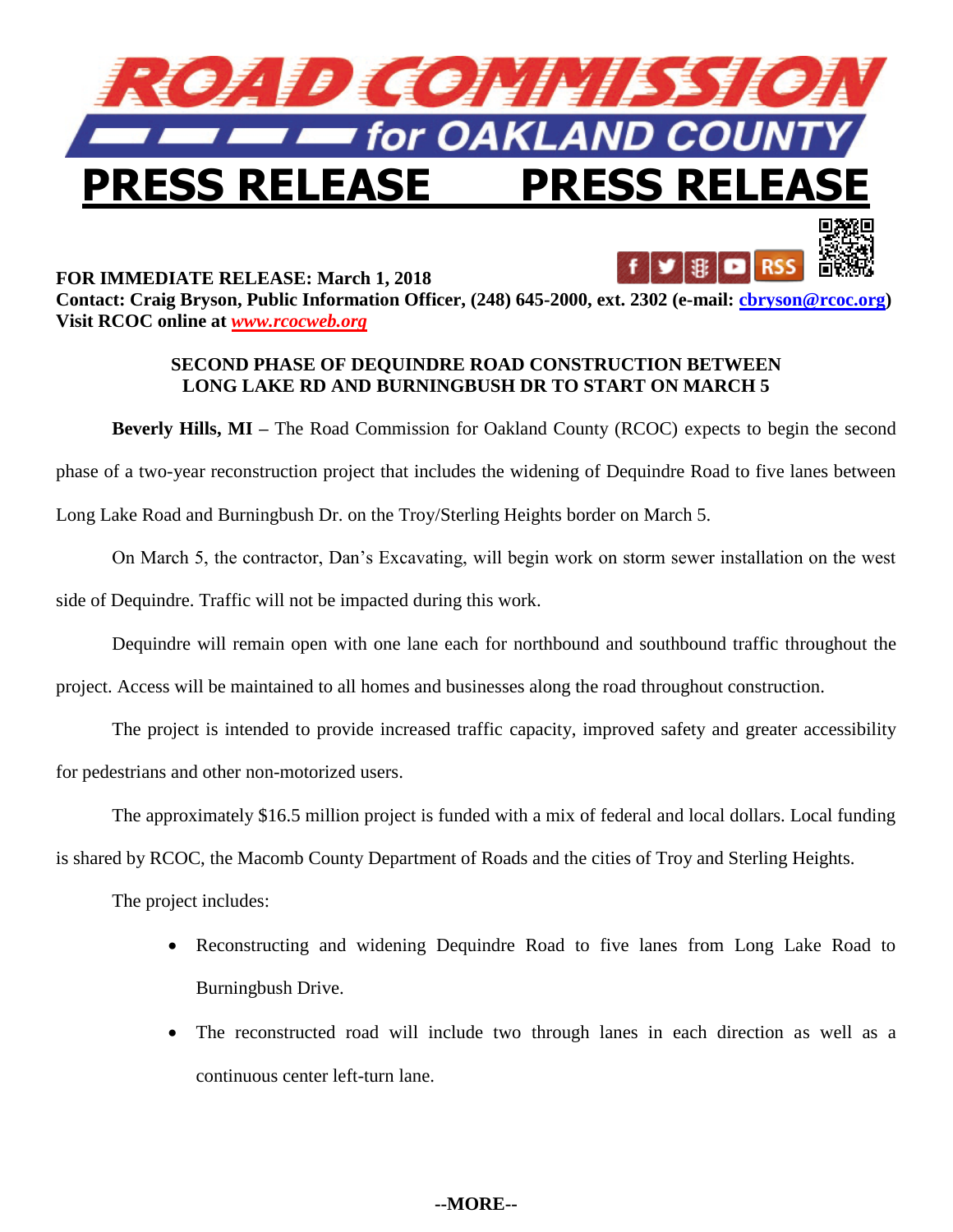



## **SECOND PHASE OF DEQUINDRE ROAD CONSTRUCTION BETWEEN LONG LAKE RD AND BURNINGBUSH DR TO START ON MARCH 5**

**Beverly Hills, MI** – The Road Commission for Oakland County (RCOC) expects to begin the second phase of a two-year reconstruction project that includes the widening of Dequindre Road to five lanes between Long Lake Road and Burningbush Dr. on the Troy/Sterling Heights border on March 5.

On March 5, the contractor, Dan's Excavating, will begin work on storm sewer installation on the west side of Dequindre. Traffic will not be impacted during this work.

Dequindre will remain open with one lane each for northbound and southbound traffic throughout the

project. Access will be maintained to all homes and businesses along the road throughout construction.

The project is intended to provide increased traffic capacity, improved safety and greater accessibility for pedestrians and other non-motorized users.

The approximately \$16.5 million project is funded with a mix of federal and local dollars. Local funding

is shared by RCOC, the Macomb County Department of Roads and the cities of Troy and Sterling Heights.

The project includes:

- Reconstructing and widening Dequindre Road to five lanes from Long Lake Road to Burningbush Drive.
- The reconstructed road will include two through lanes in each direction as well as a continuous center left-turn lane.

## **--MORE--**